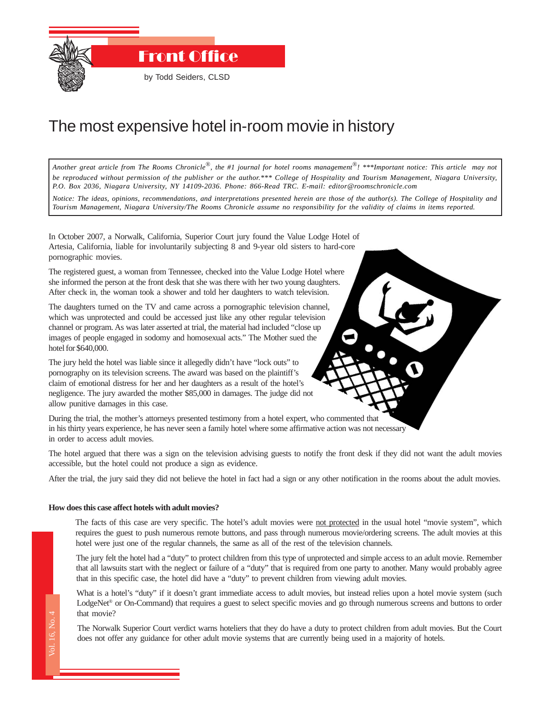

## The most expensive hotel in-room movie in history

*Another great article from The Rooms Chronicle*®*, the #1 journal for hotel rooms management*®*! \*\*\*Important notice: This article may not be reproduced without permission of the publisher or the author.\*\*\* College of Hospitality and Tourism Management, Niagara University, P.O. Box 2036, Niagara University, NY 14109-2036. Phone: 866-Read TRC. E-mail: editor@roomschronicle.com*

*Notice: The ideas, opinions, recommendations, and interpretations presented herein are those of the author(s). The College of Hospitality and Tourism Management, Niagara University/The Rooms Chronicle assume no responsibility for the validity of claims in items reported.*

In October 2007, a Norwalk, California, Superior Court jury found the Value Lodge Hotel of Artesia, California, liable for involuntarily subjecting 8 and 9-year old sisters to hard-core pornographic movies.

The registered guest, a woman from Tennessee, checked into the Value Lodge Hotel where she informed the person at the front desk that she was there with her two young daughters. After check in, the woman took a shower and told her daughters to watch television.

The daughters turned on the TV and came across a pornographic television channel, which was unprotected and could be accessed just like any other regular television channel or program. As was later asserted at trial, the material had included "close up images of people engaged in sodomy and homosexual acts." The Mother sued the hotel for \$640,000.

The jury held the hotel was liable since it allegedly didn't have "lock outs" to pornography on its television screens. The award was based on the plaintiff's claim of emotional distress for her and her daughters as a result of the hotel's negligence. The jury awarded the mother \$85,000 in damages. The judge did not allow punitive damages in this case.

During the trial, the mother's attorneys presented testimony from a hotel expert, who commented that in his thirty years experience, he has never seen a family hotel where some affirmative action was not necessary in order to access adult movies.

The hotel argued that there was a sign on the television advising guests to notify the front desk if they did not want the adult movies accessible, but the hotel could not produce a sign as evidence.

After the trial, the jury said they did not believe the hotel in fact had a sign or any other notification in the rooms about the adult movies.

## **How does this case affect hotels with adult movies?**

The facts of this case are very specific. The hotel's adult movies were not protected in the usual hotel "movie system", which requires the guest to push numerous remote buttons, and pass through numerous movie/ordering screens. The adult movies at this hotel were just one of the regular channels, the same as all of the rest of the television channels.

The jury felt the hotel had a "duty" to protect children from this type of unprotected and simple access to an adult movie. Remember that all lawsuits start with the neglect or failure of a "duty" that is required from one party to another. Many would probably agree that in this specific case, the hotel did have a "duty" to prevent children from viewing adult movies.

The Rooms Chronicle Chronicle Chronicle Chronicle Chronicle Chronicle Chronicle Chronicle Chronicle Chronicle Chronicle Chronicle Chronicle Chronicle Chronicle Chronicle Chronicle Chronicle Chronicle Chronicle Chronicle Ch What is a hotel's "duty" if it doesn't grant immediate access to adult movies, but instead relies upon a hotel movie system (such LodgeNet<sup>®</sup> or On-Command) that requires a guest to select specific movies and go through numerous screens and buttons to order that movie?

The Norwalk Superior Court verdict warns hoteliers that they do have a duty to protect children from adult movies. But the Court does not offer any guidance for other adult movie systems that are currently being used in a majority of hotels.